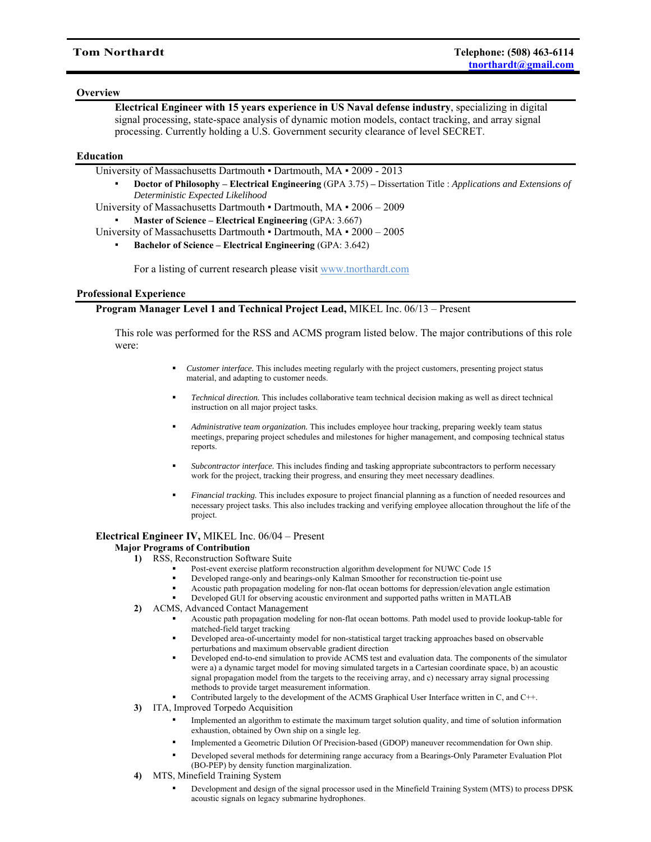# **Overview**

**Electrical Engineer with 15 years experience in US Naval defense industry**, specializing in digital signal processing, state-space analysis of dynamic motion models, contact tracking, and array signal processing. Currently holding a U.S. Government security clearance of level SECRET.

# **Education**

University of Massachusetts Dartmouth ▪ Dartmouth, MA ▪ 2009 - 2013

▪ **Doctor of Philosophy – Electrical Engineering** (GPA 3.75) **–** Dissertation Title : *Applications and Extensions of Deterministic Expected Likelihood*

University of Massachusetts Dartmouth ▪ Dartmouth, MA ▪ 2006 – 2009

▪ **Master of Science – Electrical Engineering** (GPA: 3.667)

University of Massachusetts Dartmouth ▪ Dartmouth, MA ▪ 2000 – 2005

▪ **Bachelor of Science – Electrical Engineering** (GPA: 3.642)

For a listing of current research please visit www.tnorthardt.com

# **Professional Experience**

### **Program Manager Level 1 and Technical Project Lead,** MIKEL Inc. 06/13 – Present

This role was performed for the RSS and ACMS program listed below. The major contributions of this role were:

- *Customer interface.* This includes meeting regularly with the project customers, presenting project status material, and adapting to customer needs.
- *Technical direction.* This includes collaborative team technical decision making as well as direct technical instruction on all major project tasks.
- *Administrative team organization.* This includes employee hour tracking, preparing weekly team status meetings, preparing project schedules and milestones for higher management, and composing technical status reports.
- *Subcontractor interface.* This includes finding and tasking appropriate subcontractors to perform necessary work for the project, tracking their progress, and ensuring they meet necessary deadlines.
- *Financial tracking.* This includes exposure to project financial planning as a function of needed resources and necessary project tasks. This also includes tracking and verifying employee allocation throughout the life of the project.

# **Electrical Engineer IV,** MIKEL Inc. 06/04 – Present

#### **Major Programs of Contribution**

- **1)** RSS, Reconstruction Software Suite
	- Post-event exercise platform reconstruction algorithm development for NUWC Code 15
	- Developed range-only and bearings-only Kalman Smoother for reconstruction tie-point use
	- Acoustic path propagation modeling for non-flat ocean bottoms for depression/elevation angle estimation
	- Developed GUI for observing acoustic environment and supported paths written in MATLAB
- **2)** ACMS, Advanced Contact Management
	- Acoustic path propagation modeling for non-flat ocean bottoms. Path model used to provide lookup-table for matched-field target tracking
	- Developed area-of-uncertainty model for non-statistical target tracking approaches based on observable perturbations and maximum observable gradient direction
	- Developed end-to-end simulation to provide ACMS test and evaluation data. The components of the simulator were a) a dynamic target model for moving simulated targets in a Cartesian coordinate space, b) an acoustic signal propagation model from the targets to the receiving array, and c) necessary array signal processing methods to provide target measurement information.
	- Contributed largely to the development of the ACMS Graphical User Interface written in C, and C++.
- **3)** ITA, Improved Torpedo Acquisition
	- Implemented an algorithm to estimate the maximum target solution quality, and time of solution information exhaustion, obtained by Own ship on a single leg.
	- Implemented a Geometric Dilution Of Precision-based (GDOP) maneuver recommendation for Own ship.
	- Developed several methods for determining range accuracy from a Bearings-Only Parameter Evaluation Plot (BO-PEP) by density function marginalization.
- **4)** MTS, Minefield Training System
	- Development and design of the signal processor used in the Minefield Training System (MTS) to process DPSK acoustic signals on legacy submarine hydrophones.